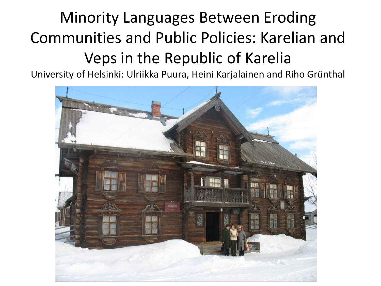### Minority Languages Between Eroding Communities and Public Policies: Karelian and Veps in the Republic of Karelia

University of Helsinki: Ulriikka Puura, Heini Karjalainen and Riho Grünthal

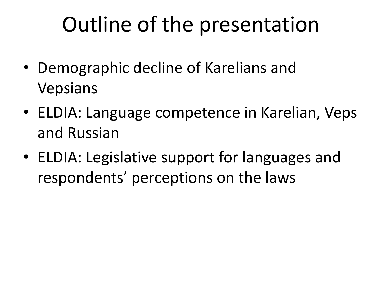# Outline of the presentation

- Demographic decline of Karelians and Vepsians
- ELDIA: Language competence in Karelian, Veps and Russian
- ELDIA: Legislative support for languages and respondents' perceptions on the laws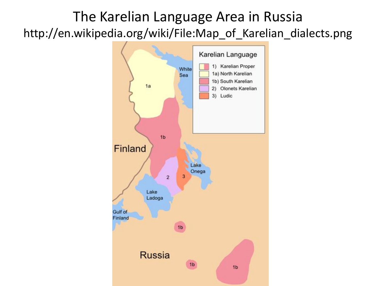#### The Karelian Language Area in Russia http://en.wikipedia.org/wiki/File:Map\_of\_Karelian\_dialects.png

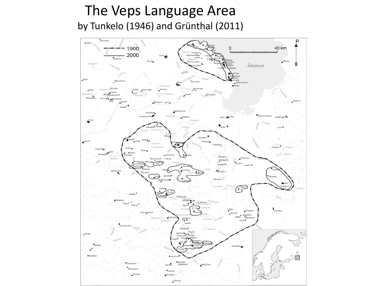#### The Veps Language Area by Tunkelo (1946) and Grünthal (2011)

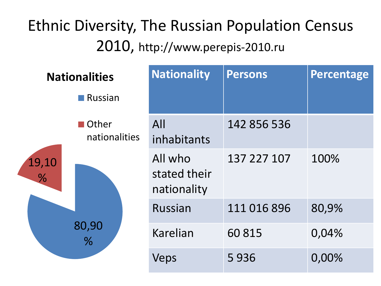### Ethnic Diversity, The Russian Population Census 2010, http://www.perepis-2010.ru

|                        | <b>Nationalities</b>            |  | <b>Nationality</b>                     | Persons     | Percentage |
|------------------------|---------------------------------|--|----------------------------------------|-------------|------------|
|                        | $\blacksquare$ Russian          |  |                                        |             |            |
| 19,10<br>$\frac{0}{6}$ | <b>■</b> Other<br>nationalities |  | All<br>inhabitants                     | 142 856 536 |            |
|                        | 80,90<br>%                      |  | All who<br>stated their<br>nationality | 137 227 107 | 100%       |
|                        |                                 |  | <b>Russian</b>                         | 111 016 896 | 80,9%      |
|                        |                                 |  | <b>Karelian</b>                        | 60815       | 0,04%      |
|                        |                                 |  | Veps                                   | 5936        | 0,00%      |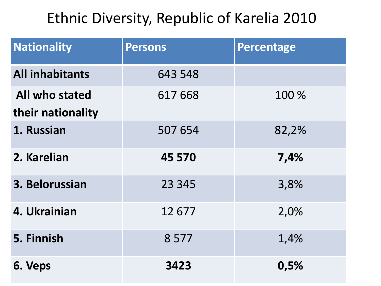#### Ethnic Diversity, Republic of Karelia 2010

| <b>Nationality</b>                  | <b>Persons</b> | <b>Percentage</b> |
|-------------------------------------|----------------|-------------------|
| <b>All inhabitants</b>              | 643 548        |                   |
| All who stated<br>their nationality | 617 668        | 100 %             |
| 1. Russian                          | 507 654        | 82,2%             |
|                                     |                |                   |
| 2. Karelian                         | 45 570         | 7,4%              |
| 3. Belorussian                      | 23 3 45        | 3,8%              |
| 4. Ukrainian                        | 12677          | 2,0%              |
| 5. Finnish                          | 8577           | 1,4%              |
| 6. Veps                             | 3423           | 0,5%              |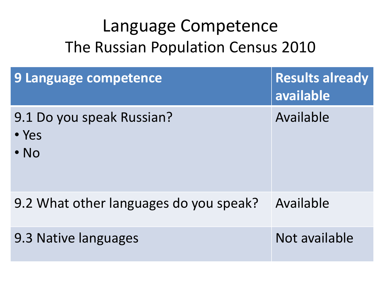### Language Competence The Russian Population Census 2010

| 9 Language competence                                    | <b>Results already</b><br>available |
|----------------------------------------------------------|-------------------------------------|
| 9.1 Do you speak Russian?<br>$\bullet$ Yes<br>$\cdot$ No | Available                           |
| 9.2 What other languages do you speak?                   | Available                           |
| 9.3 Native languages                                     | Not available                       |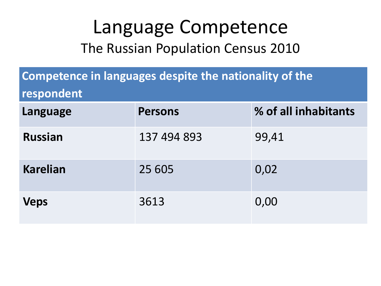### Language Competence The Russian Population Census 2010

| Competence in languages despite the nationality of the<br>respondent |                |                      |  |
|----------------------------------------------------------------------|----------------|----------------------|--|
| Language                                                             | <b>Persons</b> | % of all inhabitants |  |
| <b>Russian</b>                                                       | 137 494 893    | 99,41                |  |
| <b>Karelian</b>                                                      | 25 605         | 0,02                 |  |
| <b>Veps</b>                                                          | 3613           | 0,00                 |  |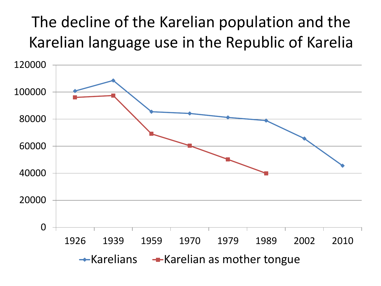### The decline of the Karelian population and the Karelian language use in the Republic of Karelia

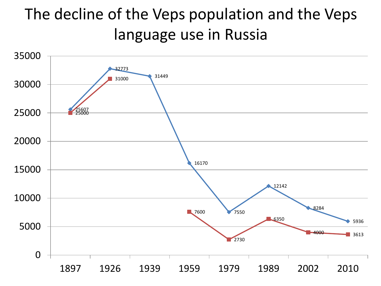### The decline of the Veps population and the Veps language use in Russia

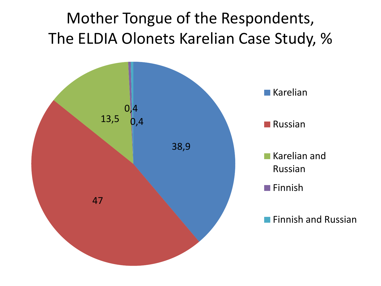### Mother Tongue of the Respondents, The ELDIA Olonets Karelian Case Study, %

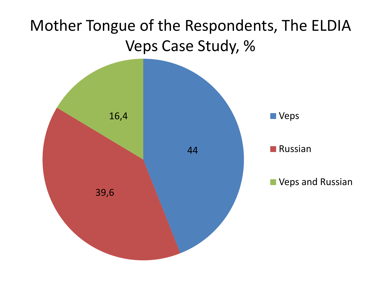### Mother Tongue of the Respondents, The ELDIA Veps Case Study, %

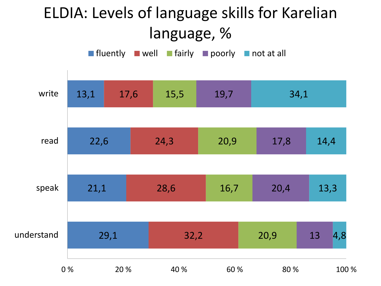### ELDIA: Levels of language skills for Karelian language, %

**fluently well fairly poorly not at all** 

| write      | 13,1 | 17,6 | 15,5 | 19,7 | 34,1 |                          |
|------------|------|------|------|------|------|--------------------------|
|            |      |      |      |      |      |                          |
| read       | 22,6 |      | 24,3 | 20,9 | 17,8 | 14,4                     |
|            |      |      |      |      |      |                          |
| speak      | 21,1 |      | 28,6 | 16,7 | 20,4 | 13,3                     |
|            |      |      |      |      |      |                          |
| understand |      | 29,1 | 32,2 |      | 20,9 | 13<br>$\vert 4, 8 \vert$ |
| 0%         |      | 20 % | 40 % | 60 % | 80 % | 100 %                    |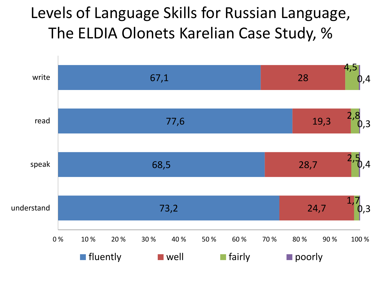#### Levels of Language Skills for Russian Language, The ELDIA Olonets Karelian Case Study, %

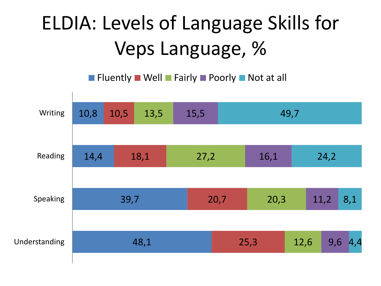## ELDIA: Levels of Language Skills for Veps Language, %

**Figure 11 Notable Mell Fairly Poorly Not at all** 

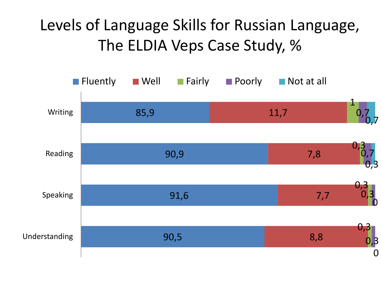### Levels of Language Skills for Russian Language, The ELDIA Veps Case Study, %

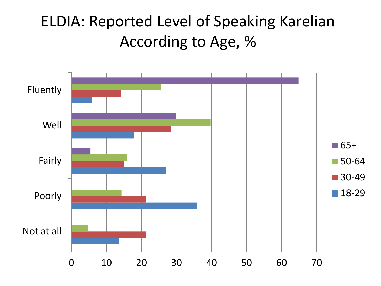#### ELDIA: Reported Level of Speaking Karelian According to Age, %

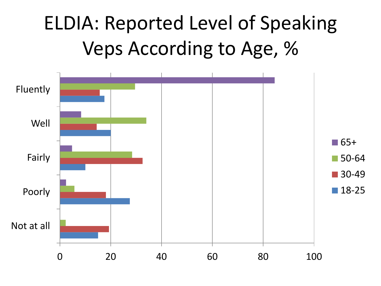### ELDIA: Reported Level of Speaking Veps According to Age, %

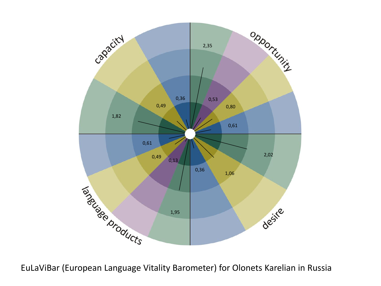

EuLaViBar (European Language Vitality Barometer) for Olonets Karelian in Russia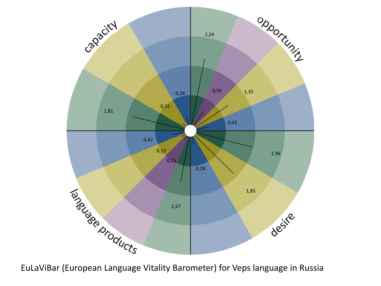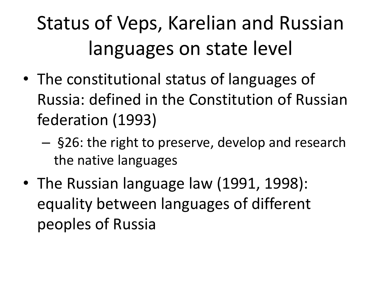# Status of Veps, Karelian and Russian languages on state level

- The constitutional status of languages of Russia: defined in the Constitution of Russian federation (1993)
	- §26: the right to preserve, develop and research the native languages
- The Russian language law (1991, 1998): equality between languages of different peoples of Russia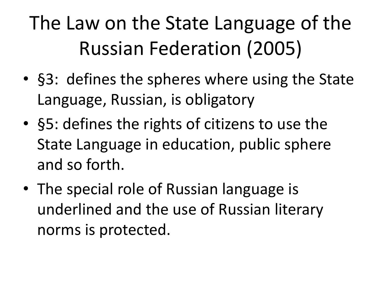# The Law on the State Language of the Russian Federation (2005)

- §3: defines the spheres where using the State Language, Russian, is obligatory
- §5: defines the rights of citizens to use the State Language in education, public sphere and so forth.
- The special role of Russian language is underlined and the use of Russian literary norms is protected.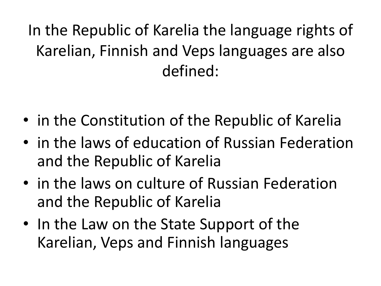In the Republic of Karelia the language rights of Karelian, Finnish and Veps languages are also defined:

- in the Constitution of the Republic of Karelia
- in the laws of education of Russian Federation and the Republic of Karelia
- in the laws on culture of Russian Federation and the Republic of Karelia
- In the Law on the State Support of the Karelian, Veps and Finnish languages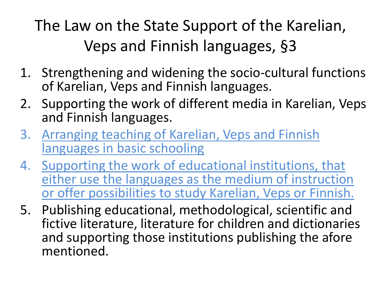The Law on the State Support of the Karelian, Veps and Finnish languages, §3

- 1. Strengthening and widening the socio-cultural functions of Karelian, Veps and Finnish languages.
- 2. Supporting the work of different media in Karelian, Veps and Finnish languages.
- 3. Arranging teaching of Karelian, Veps and Finnish languages in basic schooling
- 4. Supporting the work of educational institutions, that either use the languages as the medium of instruction or offer possibilities to study Karelian, Veps or Finnish.
- 5. Publishing educational, methodological, scientific and fictive literature, literature for children and dictionaries and supporting those institutions publishing the afore mentioned.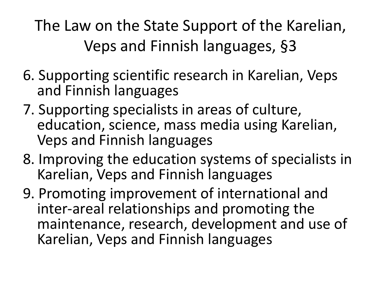The Law on the State Support of the Karelian, Veps and Finnish languages, §3

- 6. Supporting scientific research in Karelian, Veps and Finnish languages
- 7. Supporting specialists in areas of culture, education, science, mass media using Karelian, Veps and Finnish languages
- 8. Improving the education systems of specialists in Karelian, Veps and Finnish languages
- 9. Promoting improvement of international and inter-areal relationships and promoting the maintenance, research, development and use of Karelian, Veps and Finnish languages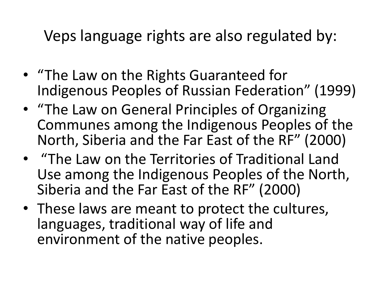Veps language rights are also regulated by:

- "The Law on the Rights Guaranteed for Indigenous Peoples of Russian Federation" (1999)
- "The Law on General Principles of Organizing Communes among the Indigenous Peoples of the North, Siberia and the Far East of the RF" (2000)
- "The Law on the Territories of Traditional Land Use among the Indigenous Peoples of the North, Siberia and the Far East of the RF" (2000)
- These laws are meant to protect the cultures, languages, traditional way of life and environment of the native peoples.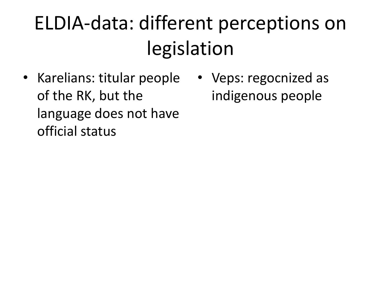## ELDIA-data: different perceptions on legislation

- Karelians: titular people of the RK, but the language does not have official status
- Veps: regocnized as indigenous people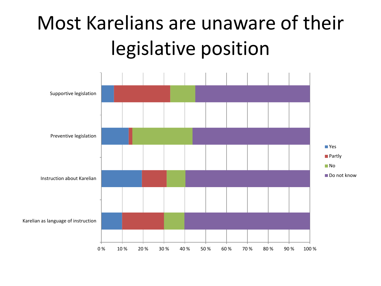## Most Karelians are unaware of their legislative position

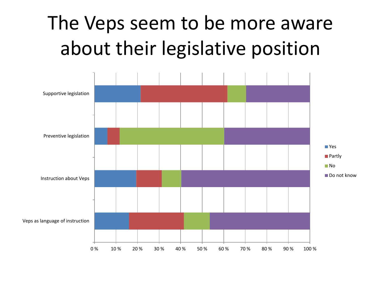### The Veps seem to be more aware about their legislative position

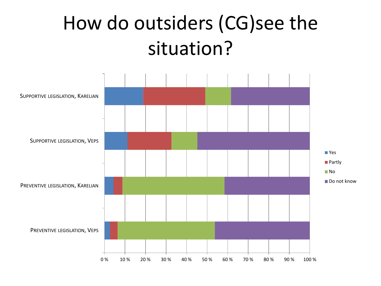### How do outsiders (CG)see the situation?

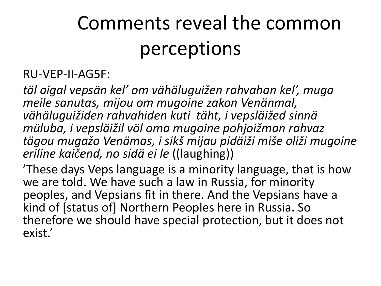### Comments reveal the common perceptions

#### RU-VEP-II-AG5F:

*täl aigal vepsän kel' om vähäluguižen rahvahan kel', muga meile sanutas, mijou om mugoine zakon Venänmal, vähäluguižiden rahvahiden kuti täht, i vepsläižed sinnä müluba, i vepsläižil völ oma mugoine pohjoižman rahvaz tägou mugažo Venämas, i sikš mijau pidäiži miše oliži mugoine eriline kaičend, no sidä ei le* ((laughing))

'These days Veps language is a minority language, that is how we are told. We have such a law in Russia, for minority peoples, and Vepsians fit in there. And the Vepsians have a kind of [status of] Northern Peoples here in Russia. So therefore we should have special protection, but it does not exist.'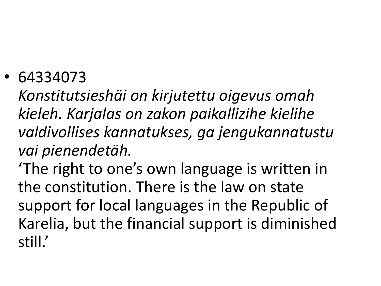• 64334073

*Konstitutsieshäi on kirjutettu oigevus omah kieleh. Karjalas on zakon paikallizihe kielihe valdivollises kannatukses, ga jengukannatustu vai pienendetäh.*

'The right to one's own language is written in the constitution. There is the law on state support for local languages in the Republic of Karelia, but the financial support is diminished still.'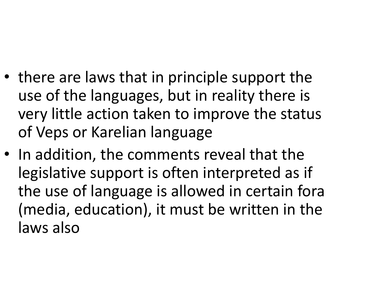- there are laws that in principle support the use of the languages, but in reality there is very little action taken to improve the status of Veps or Karelian language
- In addition, the comments reveal that the legislative support is often interpreted as if the use of language is allowed in certain fora (media, education), it must be written in the laws also